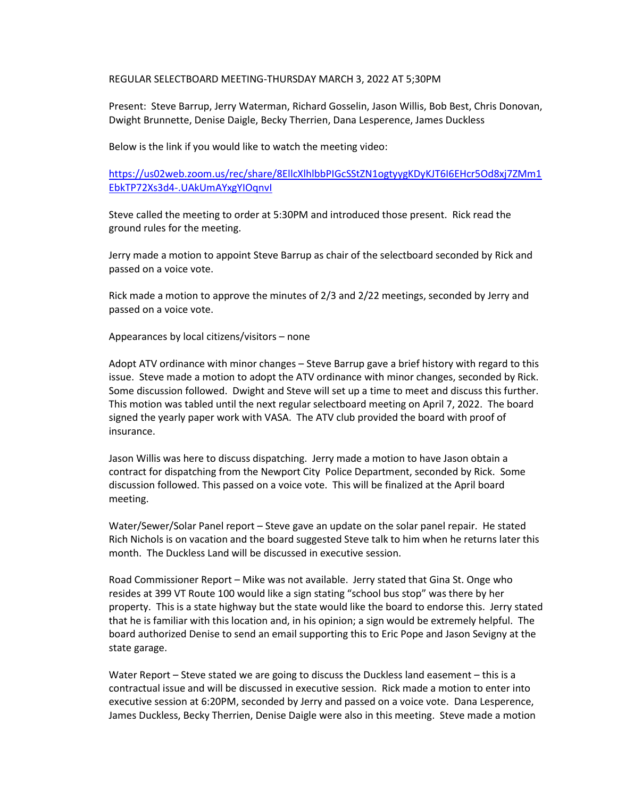REGULAR SELECTBOARD MEETING-THURSDAY MARCH 3, 2022 AT 5;30PM

Present: Steve Barrup, Jerry Waterman, Richard Gosselin, Jason Willis, Bob Best, Chris Donovan, Dwight Brunnette, Denise Daigle, Becky Therrien, Dana Lesperence, James Duckless

Below is the link if you would like to watch the meeting video:

[https://us02web.zoom.us/rec/share/8EllcXlhlbbPIGcSStZN1ogtyygKDyKJT6I6EHcr5Od8xj7ZMm1](https://us02web.zoom.us/rec/share/8EllcXlhlbbPIGcSStZN1ogtyygKDyKJT6I6EHcr5Od8xj7ZMm1EbkTP72Xs3d4-.UAkUmAYxgYIOqnvI) [EbkTP72Xs3d4-.UAkUmAYxgYIOqnvI](https://us02web.zoom.us/rec/share/8EllcXlhlbbPIGcSStZN1ogtyygKDyKJT6I6EHcr5Od8xj7ZMm1EbkTP72Xs3d4-.UAkUmAYxgYIOqnvI) 

Steve called the meeting to order at 5:30PM and introduced those present. Rick read the ground rules for the meeting.

Jerry made a motion to appoint Steve Barrup as chair of the selectboard seconded by Rick and passed on a voice vote.

Rick made a motion to approve the minutes of 2/3 and 2/22 meetings, seconded by Jerry and passed on a voice vote.

Appearances by local citizens/visitors – none

Adopt ATV ordinance with minor changes – Steve Barrup gave a brief history with regard to this issue. Steve made a motion to adopt the ATV ordinance with minor changes, seconded by Rick. Some discussion followed. Dwight and Steve will set up a time to meet and discuss this further. This motion was tabled until the next regular selectboard meeting on April 7, 2022. The board signed the yearly paper work with VASA. The ATV club provided the board with proof of insurance.

Jason Willis was here to discuss dispatching. Jerry made a motion to have Jason obtain a contract for dispatching from the Newport City Police Department, seconded by Rick. Some discussion followed. This passed on a voice vote. This will be finalized at the April board meeting.

Water/Sewer/Solar Panel report – Steve gave an update on the solar panel repair. He stated Rich Nichols is on vacation and the board suggested Steve talk to him when he returns later this month. The Duckless Land will be discussed in executive session.

Road Commissioner Report – Mike was not available. Jerry stated that Gina St. Onge who resides at 399 VT Route 100 would like a sign stating "school bus stop" was there by her property. This is a state highway but the state would like the board to endorse this. Jerry stated that he is familiar with this location and, in his opinion; a sign would be extremely helpful. The board authorized Denise to send an email supporting this to Eric Pope and Jason Sevigny at the state garage.

Water Report – Steve stated we are going to discuss the Duckless land easement – this is a contractual issue and will be discussed in executive session. Rick made a motion to enter into executive session at 6:20PM, seconded by Jerry and passed on a voice vote. Dana Lesperence, James Duckless, Becky Therrien, Denise Daigle were also in this meeting. Steve made a motion